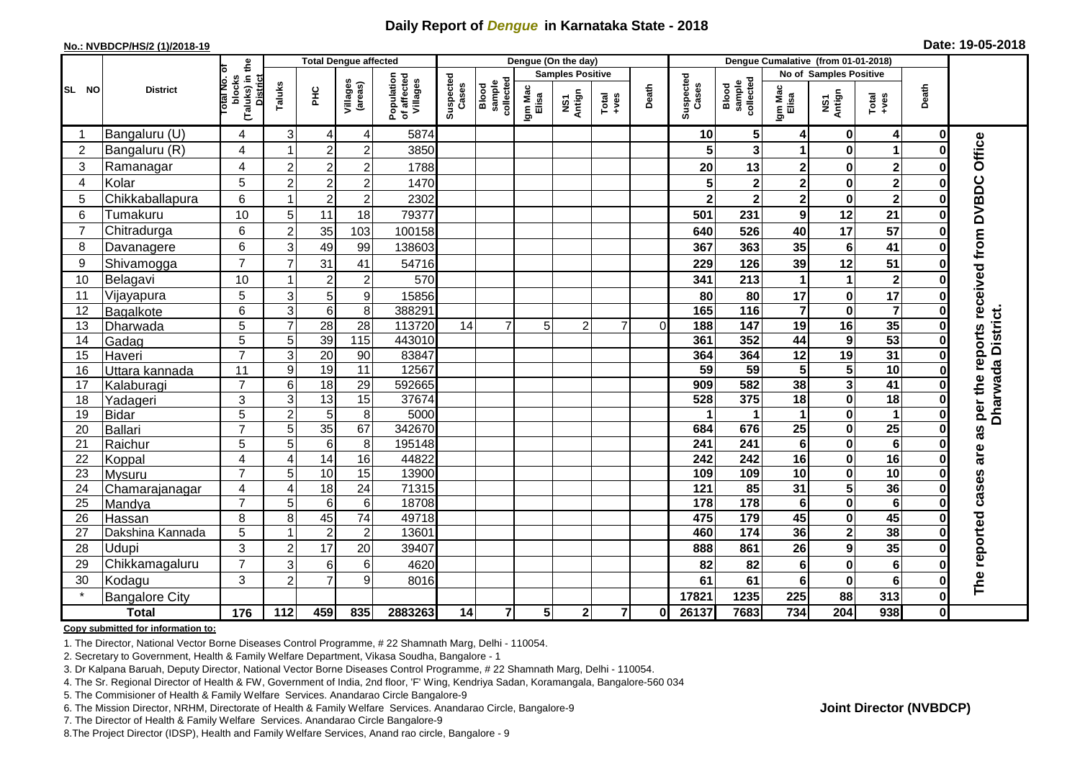## **Daily Report of** *Dengue* **in Karnataka State - 2018**

#### **No.: NVBDCP/HS/2 (1)/2018-19**

| Date: 19-05-2018 |  |  |  |  |
|------------------|--|--|--|--|
|------------------|--|--|--|--|

|                |                       |                                                              | <b>Total Dengue affected</b> |                 |                     | Dengue (On the day)                   |                    |                              |                         |                |                                                              |          | Dengue Cumalative (from 01-01-2018) |                              |                         |                         |                         |              |                                     |
|----------------|-----------------------|--------------------------------------------------------------|------------------------------|-----------------|---------------------|---------------------------------------|--------------------|------------------------------|-------------------------|----------------|--------------------------------------------------------------|----------|-------------------------------------|------------------------------|-------------------------|-------------------------|-------------------------|--------------|-------------------------------------|
|                |                       |                                                              |                              |                 |                     |                                       |                    |                              | <b>Samples Positive</b> |                |                                                              |          |                                     | No of Samples Positive       |                         |                         |                         |              |                                     |
| SL NO          | <b>District</b>       | (Taluks) in the<br>Total No. of<br>blocks<br><b>District</b> | Taluks                       | <b>PHC</b>      | Villages<br>(areas) | Population<br>of affected<br>Villages | Suspected<br>Cases | collectec<br>sample<br>Blood | Igm Mac<br>Elisa        | NS1<br>Antign  | $\begin{array}{c}\n\text{Total} \\ \text{Area}\n\end{array}$ | Death    | Suspected<br>Cases                  | sample<br>collected<br>Blood | Igm Mac<br>Elisa        | NS1<br>Antign           | Total<br>+ves           | Death        |                                     |
|                | Bangaluru (U)         | 4                                                            | 3                            | 4               | 4                   | 5874                                  |                    |                              |                         |                |                                                              |          | 10                                  | $5\phantom{.0}$              | 4                       | 0                       | 4                       | 0            |                                     |
| $\overline{2}$ | Bangaluru (R)         | 4                                                            |                              | $\overline{2}$  | $\overline{2}$      | 3850                                  |                    |                              |                         |                |                                                              |          | 5                                   | $\overline{\mathbf{3}}$      | 1                       | $\bf{0}$                | 1                       |              |                                     |
| 3              | Ramanagar             | 4                                                            | $\overline{c}$               | $\overline{2}$  | $\overline{2}$      | 1788                                  |                    |                              |                         |                |                                                              |          | 20                                  | 13                           | $\mathbf 2$             | 0                       | $\mathbf 2$             |              | Office                              |
| $\overline{4}$ | Kolar                 | 5                                                            | $\overline{2}$               | $\overline{a}$  | $\overline{2}$      | 1470                                  |                    |                              |                         |                |                                                              |          | 5                                   | $\bf{2}$                     | $\overline{2}$          | $\bf{0}$                | $\overline{\mathbf{2}}$ |              |                                     |
| 5              | Chikkaballapura       | 6                                                            |                              | $\overline{2}$  | $\overline{c}$      | 2302                                  |                    |                              |                         |                |                                                              |          | $\overline{\mathbf{2}}$             | $\overline{\mathbf{2}}$      | $\overline{\mathbf{2}}$ | $\mathbf 0$             | $\overline{\mathbf{2}}$ |              |                                     |
| 6              | Tumakuru              | 10                                                           | 5                            | 11              | 18                  | 79377                                 |                    |                              |                         |                |                                                              |          | 501                                 | 231                          | $\boldsymbol{9}$        | 12                      | 21                      |              |                                     |
| $\overline{7}$ | Chitradurga           | 6                                                            | $\overline{2}$               | 35              | 103                 | 100158                                |                    |                              |                         |                |                                                              |          | 640                                 | 526                          | 40                      | $\overline{17}$         | 57                      |              |                                     |
| 8              | Davanagere            | 6                                                            | 3                            | 49              | 99                  | 138603                                |                    |                              |                         |                |                                                              |          | 367                                 | 363                          | 35                      | $6\phantom{1}6$         | 41                      |              |                                     |
| 9              | Shivamogga            | $\overline{7}$                                               |                              | 31              | 41                  | 54716                                 |                    |                              |                         |                |                                                              |          | 229                                 | 126                          | 39                      | 12                      | 51                      | 0            | per the reports received from DVBDC |
| 10             | Belagavi              | 10                                                           |                              | $\mathbf 2$     | $\overline{2}$      | 570                                   |                    |                              |                         |                |                                                              |          | 341                                 | 213                          | 1                       | 1                       | $\mathbf 2$             |              |                                     |
| 11             | Vijayapura            | 5                                                            | 3                            | 5               | 9                   | 15856                                 |                    |                              |                         |                |                                                              |          | 80                                  | 80                           | 17                      | 0                       | 17                      |              |                                     |
| 12             | Bagalkote             | 6                                                            | 3                            | $6 \mid$        | 8                   | 388291                                |                    |                              |                         |                |                                                              |          | 165                                 | $\frac{116}{116}$            | $\overline{\mathbf{7}}$ | $\mathbf 0$             | $\overline{\mathbf{7}}$ |              |                                     |
| 13             | Dharwada              | 5                                                            | $\overline{7}$               | $\overline{28}$ | $\overline{28}$     | 113720                                | 14                 | $\overline{7}$               | $5\phantom{.0}$         | $\overline{2}$ | $\overline{7}$                                               | $\Omega$ | 188                                 | $\overline{147}$             | 19                      | 16                      | 35                      |              |                                     |
| 14             | Gadag                 | $\overline{5}$                                               | 5                            | 39              | $\frac{115}{115}$   | 443010                                |                    |                              |                         |                |                                                              |          | 361                                 | 352                          | 44                      | 9                       | 53                      |              | Dharwada District.                  |
| 15             | Haveri                | $\overline{7}$                                               | 3                            | 20              | 90                  | 83847                                 |                    |                              |                         |                |                                                              |          | 364                                 | 364                          | 12                      | 19                      | 31                      | 0            |                                     |
| 16             | Uttara kannada        | 11                                                           | 9                            | 19              | $\overline{11}$     | 12567                                 |                    |                              |                         |                |                                                              |          | 59                                  | 59                           | 5                       | 5                       | 10                      |              |                                     |
| 17             | Kalaburagi            | $\overline{7}$                                               | 6                            | $\frac{1}{8}$   | 29                  | 592665                                |                    |                              |                         |                |                                                              |          | 909                                 | 582                          | 38                      | $\overline{\mathbf{3}}$ | 41                      |              |                                     |
| 18             | Yadageri              | 3                                                            | 3                            | 13              | 15                  | 37674                                 |                    |                              |                         |                |                                                              |          | 528                                 | $\overline{375}$             | 18                      | $\mathbf 0$             | $\overline{18}$         |              |                                     |
| 19             | <b>Bidar</b>          | 5                                                            | 2                            | $5\phantom{.0}$ | 8                   | 5000                                  |                    |                              |                         |                |                                                              |          |                                     | $\mathbf 1$                  | 1                       | 0                       | 1                       | 0            |                                     |
| 20             | Ballari               | $\overline{7}$                                               | 5                            | 35              | 67                  | 342670                                |                    |                              |                         |                |                                                              |          | 684                                 | 676                          | $\overline{25}$         | $\mathbf 0$             | $\overline{25}$         |              | as                                  |
| 21             | Raichur               | 5                                                            | 5                            | $6\phantom{1}$  | 8                   | 195148                                |                    |                              |                         |                |                                                              |          | 241                                 | 241                          | $\bf 6$                 | 0                       | $\bf 6$                 |              | are                                 |
| 22             | Koppal                | 4                                                            | 4                            | 14              | 16                  | 44822                                 |                    |                              |                         |                |                                                              |          | 242                                 | 242                          | 16                      | $\bf{0}$                | 16                      |              |                                     |
| 23             | Mysuru                | $\overline{7}$                                               | 5                            | 10              | 15                  | 13900                                 |                    |                              |                         |                |                                                              |          | 109                                 | 109                          | $\overline{10}$         | $\mathbf 0$             | 10                      | 0            |                                     |
| 24             | Chamarajanagar        | 4                                                            | 4                            | $\frac{1}{8}$   | 24                  | 71315                                 |                    |                              |                         |                |                                                              |          | 121                                 | 85                           | $\overline{31}$         | $5\phantom{a}$          | 36                      | 0            | cases                               |
| 25             | Mandya                | $\overline{7}$                                               | 5                            | 6               | $6\phantom{1}6$     | 18708                                 |                    |                              |                         |                |                                                              |          | 178                                 | 178                          | $\bf 6$                 | $\bf{0}$                | $6\phantom{1}$          |              |                                     |
| 26             | Hassan                | 8                                                            | 8                            | 45              | $\overline{74}$     | 49718                                 |                    |                              |                         |                |                                                              |          | 475                                 | 179<br>$\overline{174}$      | 45<br>36                | $\pmb{0}$               | 45<br>38                |              |                                     |
| 27             | Dakshina Kannada      | $\overline{5}$                                               |                              | $\overline{2}$  | $\overline{2}$      | 13601                                 |                    |                              |                         |                |                                                              |          | 460                                 |                              |                         | $\overline{\mathbf{2}}$ |                         | 0            |                                     |
| 28             | Udupi                 | 3                                                            | $\overline{2}$               | 17              | 20                  | 39407                                 |                    |                              |                         |                |                                                              |          | 888                                 | 861                          | 26                      | $\boldsymbol{9}$        | 35                      | 0            |                                     |
| 29             | Chikkamagaluru        | $\overline{7}$                                               | 3                            | 6               | $6\phantom{1}6$     | 4620                                  |                    |                              |                         |                |                                                              |          | 82                                  | 82                           | $6\phantom{1}6$         | $\bf{0}$                | $6\phantom{1}$          |              |                                     |
| 30             | Kodagu                | 3                                                            | $\overline{2}$               | $\overline{7}$  | 9                   | 8016                                  |                    |                              |                         |                |                                                              |          | 61                                  | 61                           | 6                       | $\mathbf 0$             | 6                       |              | The reported                        |
| $\star$        | <b>Bangalore City</b> |                                                              |                              |                 |                     |                                       |                    |                              |                         |                |                                                              |          | 17821                               | 1235                         | 225                     | 88                      | 313                     | 0            |                                     |
|                | <b>Total</b>          | $\frac{1}{176}$                                              | 112                          | 459             | 835                 | 2883263                               | 14                 | $\overline{7}$               | $5\phantom{.0}$         | $\mathbf{2}$   | $\mathbf{z}$                                                 | 0        | 26137                               | 7683                         | 734                     | 204                     | 938                     | $\mathbf{0}$ |                                     |

#### **Copy submitted for information to:**

1. The Director, National Vector Borne Diseases Control Programme, # 22 Shamnath Marg, Delhi - 110054.

2. Secretary to Government, Health & Family Welfare Department, Vikasa Soudha, Bangalore - 1

3. Dr Kalpana Baruah, Deputy Director, National Vector Borne Diseases Control Programme, # 22 Shamnath Marg, Delhi - 110054.

4. The Sr. Regional Director of Health & FW, Government of India, 2nd floor, 'F' Wing, Kendriya Sadan, Koramangala, Bangalore-560 034

5. The Commisioner of Health & Family Welfare Services. Anandarao Circle Bangalore-9

6. The Mission Director, NRHM, Directorate of Health & Family Welfare Services. Anandarao Circle, Bangalore-9

7. The Director of Health & Family Welfare Services. Anandarao Circle Bangalore-9

8.The Project Director (IDSP), Health and Family Welfare Services, Anand rao circle, Bangalore - 9